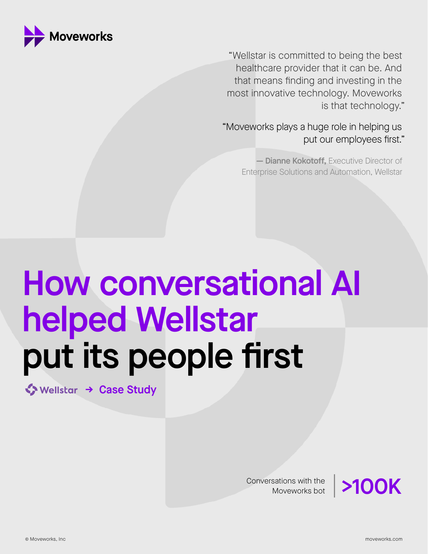

"Wellstar is committed to being the best healthcare provider that it can be. And that means finding and investing in the most innovative technology. Moveworks is that technology."

"Moveworks plays a huge role in helping us put our employees first."

> - Dianne Kokotoff, Executive Director of Enterprise Solutions and Automation, Wellstar

# How conversational AI helped Wellstar put its people first

◆ Wellstar [→ Case Study](https://www.moveworks.com/case-studies/wellstar)

Conversations with the

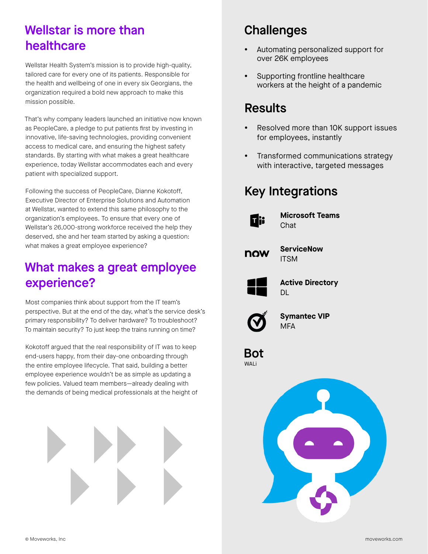#### Wellstar is more than healthcare

Wellstar Health System's mission is to provide high-quality, tailored care for every one of its patients. Responsible for the health and wellbeing of one in every six Georgians, the organization required a bold new approach to make this mission possible.

That's why company leaders launched an initiative now known as PeopleCare, a pledge to put patients first by investing in innovative, life-saving technologies, providing convenient access to medical care, and ensuring the highest safety standards. By starting with what makes a great healthcare experience, today Wellstar accommodates each and every patient with specialized support.

Following the success of PeopleCare, Dianne Kokotoff, Executive Director of Enterprise Solutions and Automation at Wellstar, wanted to extend this same philosophy to the organization's employees. To ensure that every one of Wellstar's 26,000-strong workforce received the help they deserved, she and her team started by asking a question: what makes a great employee experience?

## What makes a great employee experience?

Most companies think about support from the IT team's perspective. But at the end of the day, what's the service desk's primary responsibility? To deliver hardware? To troubleshoot? To maintain security? To just keep the trains running on time?

Kokotoff argued that the real responsibility of IT was to keep end-users happy, from their day-one onboarding through the entire employee lifecycle. That said, building a better employee experience wouldn't be as simple as updating a few policies. Valued team members—already dealing with the demands of being medical professionals at the height of



## **Challenges**

- Automating personalized support for over 26K employees
- Supporting frontline healthcare workers at the height of a pandemic

#### Results

- Resolved more than 10K support issues for employees, instantly
- Transformed communications strategy with interactive, targeted messages

#### Key Integrations



**Microsoft Teams** Chat



**ServiceNow ITSM** 



**Active Directory** DL



**Symantec VIP MFA** 

Bot WALi

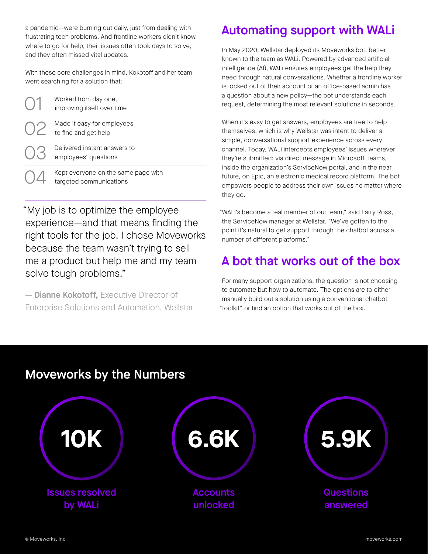a pandemic—were burning out daily, just from dealing with frustrating tech problems. And frontline workers didn't know where to go for help, their issues often took days to solve, and they often missed vital updates.

With these core challenges in mind, Kokotoff and her team went searching for a solution that:

| Worked from day one,<br>improving itself over time             |
|----------------------------------------------------------------|
| Made it easy for employees<br>to find and get help             |
| Delivered instant answers to<br>employees' questions           |
| Kept everyone on the same page with<br>targeted communications |

"My job is to optimize the employee experience—and that means finding the right tools for the job. I chose Moveworks because the team wasn't trying to sell me a product but help me and my team solve tough problems."

— Dianne Kokotoff, Executive Director of Enterprise Solutions and Automation, Wellstar

## Automating support with WALi

In May 2020, Wellstar deployed its Moveworks bot, better known to the team as WALi. Powered by advanced artificial intelligence (AI), WALi ensures employees get the help they need through natural conversations. Whether a frontline worker is locked out of their account or an office-based admin has a question about a new policy—the bot understands each request, determining the most relevant solutions in seconds.

When it's easy to get answers, employees are free to help themselves, which is why Wellstar was intent to deliver a simple, conversational support experience across every channel. Today, WALi intercepts employees' issues wherever they're submitted: via direct message in Microsoft Teams, inside the organization's ServiceNow portal, and in the near future, on Epic, an electronic medical record platform. The bot empowers people to address their own issues no matter where they go.

"WALi's become a real member of our team," said Larry Ross, the ServiceNow manager at Wellstar. "We've gotten to the point it's natural to get support through the chatbot across a number of different platforms."

#### A bot that works out of the box

For many support organizations, the question is not choosing to automate but how to automate. The options are to either manually build out a solution using a conventional chatbot "toolkit" or find an option that works out of the box.

#### Moveworks by the Numbers

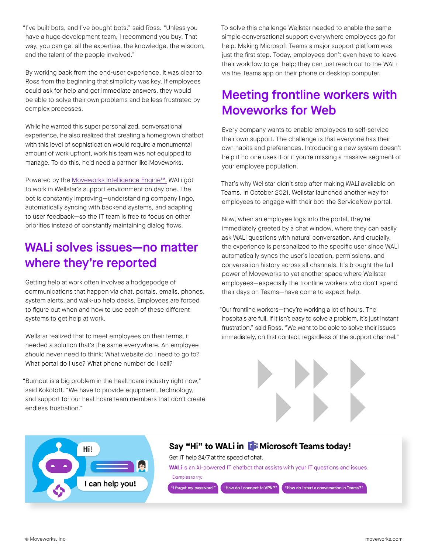"I've built bots, and I've bought bots," said Ross. "Unless you have a huge development team, I recommend you buy. That way, you can get all the expertise, the knowledge, the wisdom, and the talent of the people involved."

By working back from the end-user experience, it was clear to Ross from the beginning that simplicity was key. If employees could ask for help and get immediate answers, they would be able to solve their own problems and be less frustrated by complex processes.

While he wanted this super personalized, conversational experience, he also realized that creating a homegrown chatbot with this level of sophistication would require a monumental amount of work upfront, work his team was not equipped to manage. To do this, he'd need a partner like Moveworks.

Powered by the [Moveworks Intelligence Engine™,](https://www.moveworks.com/intelligence-engine) WALi got to work in Wellstar's support environment on day one. The bot is constantly improving—understanding company lingo, automatically syncing with backend systems, and adapting to user feedback—so the IT team is free to focus on other priorities instead of constantly maintaining dialog flows.

#### WALi solves issues—no matter where they're reported

Getting help at work often involves a hodgepodge of communications that happen via chat, portals, emails, phones, system alerts, and walk-up help desks. Employees are forced to figure out when and how to use each of these different systems to get help at work.

Wellstar realized that to meet employees on their terms, it needed a solution that's the same everywhere. An employee should never need to think: What website do I need to go to? What portal do I use? What phone number do I call?

"Burnout is a big problem in the healthcare industry right now," said Kokotoff. "We have to provide equipment, technology, and support for our healthcare team members that don't create endless frustration."

To solve this challenge Wellstar needed to enable the same simple conversational support everywhere employees go for help. Making Microsoft Teams a major support platform was just the first step. Today, employees don't even have to leave their workflow to get help; they can just reach out to the WALi via the Teams app on their phone or desktop computer.

#### Meeting frontline workers with Moveworks for Web

Every company wants to enable employees to self-service their own support. The challenge is that everyone has their own habits and preferences. Introducing a new system doesn't help if no one uses it or if you're missing a massive segment of your employee population.

That's why Wellstar didn't stop after making WALi available on Teams. In October 2021, Wellstar launched another way for employees to engage with their bot: the ServiceNow portal.

Now, when an employee logs into the portal, they're immediately greeted by a chat window, where they can easily ask WALi questions with natural conversation. And crucially, the experience is personalized to the specific user since WALi automatically syncs the user's location, permissions, and conversation history across all channels. It's brought the full power of Moveworks to yet another space where Wellstar employees—especially the frontline workers who don't spend their days on Teams—have come to expect help.

"Our frontline workers—they're working a lot of hours. The hospitals are full. If it isn't easy to solve a problem, it's just instant frustration," said Ross. "We want to be able to solve their issues immediately, on first contact, regardless of the support channel."





#### Say "Hi" to WALi in Ti Microsoft Teams today!

Get IT help 24/7 at the speed of chat. WALI is an Al-powered IT chatbot that assists with your IT questions and issues. Examples to try: "I forgot my password." "How do I connect to VPN?" "How do I start a conversation in Teams?"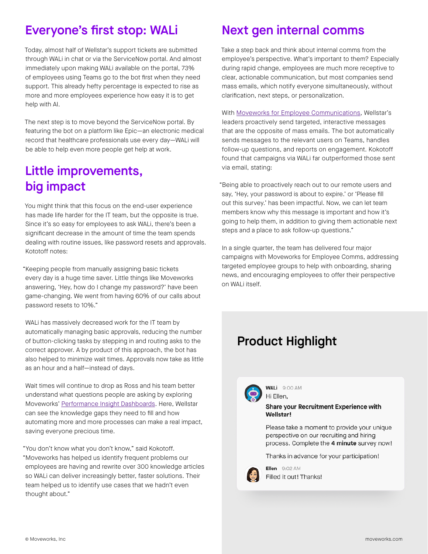#### Everyone's first stop: WALi

Today, almost half of Wellstar's support tickets are submitted through WALi in chat or via the ServiceNow portal. And almost immediately upon making WALi available on the portal, 73% of employees using Teams go to the bot first when they need support. This already hefty percentage is expected to rise as more and more employees experience how easy it is to get help with AI.

The next step is to move beyond the ServiceNow portal. By featuring the bot on a platform like Epic—an electronic medical record that healthcare professionals use every day—WALi will be able to help even more people get help at work.

#### Little improvements, big impact

You might think that this focus on the end-user experience has made life harder for the IT team, but the opposite is true. Since it's so easy for employees to ask WALi, there's been a significant decrease in the amount of time the team spends dealing with routine issues, like password resets and approvals. Kototoff notes:

"Keeping people from manually assigning basic tickets every day is a huge time saver. Little things like Moveworks answering, 'Hey, how do I change my password?' have been game-changing. We went from having 60% of our calls about password resets to 10%."

WALi has massively decreased work for the IT team by automatically managing basic approvals, reducing the number of button-clicking tasks by stepping in and routing asks to the correct approver. A by product of this approach, the bot has also helped to minimize wait times. Approvals now take as little as an hour and a half—instead of days.

Wait times will continue to drop as Ross and his team better understand what questions people are asking by exploring Moveworks' [Performance Insight Dashboards.](https://www.moveworks.com/product/performance-insights-dashboards) Here, Wellstar can see the knowledge gaps they need to fill and how automating more and more processes can make a real impact, saving everyone precious time.

"You don't know what you don't know," said Kokotoff. "Moveworks has helped us identify frequent problems our employees are having and rewrite over 300 knowledge articles so WALi can deliver increasingly better, faster solutions. Their team helped us to identify use cases that we hadn't even thought about."

## Next gen internal comms

Take a step back and think about internal comms from the employee's perspective. What's important to them? Especially during rapid change, employees are much more receptive to clear, actionable communication, but most companies send mass emails, which notify everyone simultaneously, without clarification, next steps, or personalization.

With [Moveworks for Employee Communications,](https://www.moveworks.com/departments/internal-comms) Wellstar's leaders proactively send targeted, interactive messages that are the opposite of mass emails. The bot automatically sends messages to the relevant users on Teams, handles follow-up questions, and reports on engagement. Kokotoff found that campaigns via WALi far outperformed those sent via email, stating:

"Being able to proactively reach out to our remote users and say, 'Hey, your password is about to expire.' or 'Please fill out this survey.' has been impactful. Now, we can let team members know why this message is important and how it's going to help them, in addition to giving them actionable next steps and a place to ask follow-up questions."

In a single quarter, the team has delivered four major campaigns with Moveworks for Employee Comms, addressing targeted employee groups to help with onboarding, sharing news, and encouraging employees to offer their perspective on WALi itself.

# Product Highlight



WALi 9:00 AM

Hi Ellen,

#### Share your Recruitment Experience with Wellstar!

Please take a moment to provide your unique perspective on our recruiting and hiring process. Complete the 4 minute survey now!

Thanks in advance for your participation!



Ellen  $9:02$  AM Filled it out! Thanks!